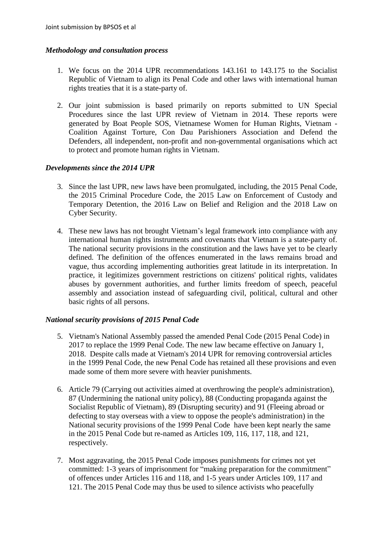### *Methodology and consultation process*

- 1. We focus on the 2014 UPR recommendations 143.161 to 143.175 to the Socialist Republic of Vietnam to align its Penal Code and other laws with international human rights treaties that it is a state-party of.
- 2. Our joint submission is based primarily on reports submitted to UN Special Procedures since the last UPR review of Vietnam in 2014. These reports were generated by Boat People SOS, Vietnamese Women for Human Rights, Vietnam - Coalition Against Torture, Con Dau Parishioners Association and Defend the Defenders, all independent, non-profit and non-governmental organisations which act to protect and promote human rights in Vietnam.

#### *Developments since the 2014 UPR*

- 3. Since the last UPR, new laws have been promulgated, including, the 2015 Penal Code, the 2015 Criminal Procedure Code, the 2015 Law on Enforcement of Custody and Temporary Detention, the 2016 Law on Belief and Religion and the 2018 Law on Cyber Security.
- 4. These new laws has not brought Vietnam's legal framework into compliance with any international human rights instruments and covenants that Vietnam is a state-party of. The national security provisions in the constitution and the laws have yet to be clearly defined. The definition of the offences enumerated in the laws remains broad and vague, thus according implementing authorities great latitude in its interpretation. In practice, it legitimizes government restrictions on citizens' political rights, validates abuses by government authorities, and further limits freedom of speech, peaceful assembly and association instead of safeguarding civil, political, cultural and other basic rights of all persons.

# *National security provisions of 2015 Penal Code*

- 5. Vietnam's National Assembly passed the amended Penal Code (2015 Penal Code) in 2017 to replace the 1999 Penal Code. The new law became effective on January 1, 2018. Despite calls made at Vietnam's 2014 UPR for removing controversial articles in the 1999 Penal Code, the new Penal Code has retained all these provisions and even made some of them more severe with heavier punishments.
- 6. Article 79 (Carrying out activities aimed at overthrowing the people's administration), 87 (Undermining the national unity policy), 88 (Conducting propaganda against the Socialist Republic of Vietnam), 89 (Disrupting security) and 91 (Fleeing abroad or defecting to stay overseas with a view to oppose the people's administration) in the National security provisions of the 1999 Penal Code have been kept nearly the same in the 2015 Penal Code but re-named as Articles 109, 116, 117, 118, and 121, respectively.
- 7. Most aggravating, the 2015 Penal Code imposes punishments for crimes not yet committed: 1-3 years of imprisonment for "making preparation for the commitment" of offences under Articles 116 and 118, and 1-5 years under Articles 109, 117 and 121. The 2015 Penal Code may thus be used to silence activists who peacefully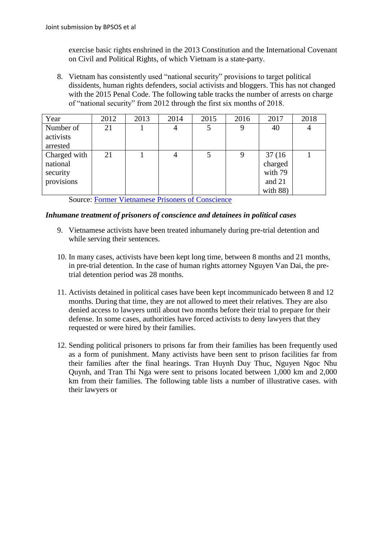exercise basic rights enshrined in the 2013 Constitution and the International Covenant on Civil and Political Rights, of which Vietnam is a state-party.

8. Vietnam has consistently used "national security" provisions to target political dissidents, human rights defenders, social activists and bloggers. This has not changed with the 2015 Penal Code. The following table tracks the number of arrests on charge of "national security" from 2012 through the first six months of 2018.

| Year         | 2012 | 2013 | 2014           | 2015 | 2016 | 2017     | 2018           |
|--------------|------|------|----------------|------|------|----------|----------------|
| Number of    | 21   |      | $\overline{4}$ | 5    | 9    | 40       | $\overline{4}$ |
| activists    |      |      |                |      |      |          |                |
| arrested     |      |      |                |      |      |          |                |
| Charged with | 21   |      | $\overline{4}$ | 5    | 9    | 37(16)   |                |
| national     |      |      |                |      |      | charged  |                |
| security     |      |      |                |      |      | with 79  |                |
| provisions   |      |      |                |      |      | and 21   |                |
|              |      |      |                |      |      | with 88) |                |

Source: [Former Vietnamese Prisoners of Conscience](http://fvpoc.org/danh-sach-tnlt-list-of-poc/)

#### *Inhumane treatment of prisoners of conscience and detainees in political cases*

- 9. Vietnamese activists have been treated inhumanely during pre-trial detention and while serving their sentences.
- 10. In many cases, activists have been kept long time, between 8 months and 21 months, in pre-trial detention. In the case of human rights attorney Nguyen Van Dai, the pretrial detention period was 28 months.
- 11. Activists detained in political cases have been kept incommunicado between 8 and 12 months. During that time, they are not allowed to meet their relatives. They are also denied access to lawyers until about two months before their trial to prepare for their defense. In some cases, authorities have forced activists to deny lawyers that they requested or were hired by their families.
- 12. Sending political prisoners to prisons far from their families has been frequently used as a form of punishment. Many activists have been sent to prison facilities far from their families after the final hearings. Tran Huynh Duy Thuc, Nguyen Ngoc Nhu Quynh, and Tran Thi Nga were sent to prisons located between 1,000 km and 2,000 km from their families. The following table lists a number of illustrative cases. with their lawyers or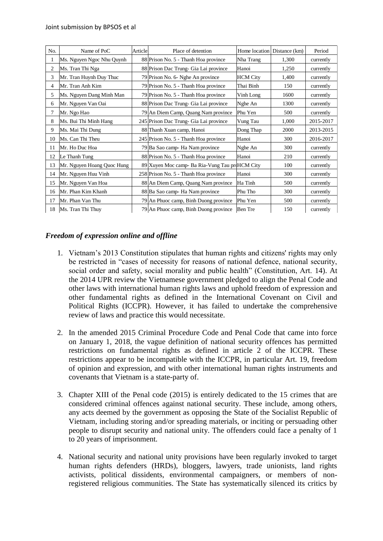| No. | Name of PoC                | Article | Place of detention                             | Home location   | Distance (km) | Period    |
|-----|----------------------------|---------|------------------------------------------------|-----------------|---------------|-----------|
|     | Ms. Nguyen Ngoc Nhu Quynh  |         | 88 Prison No. 5 - Thanh Hoa province           | Nha Trang       | 1,300         | currently |
| 2   | Ms. Tran Thi Nga           |         | 88 Prison Dac Trung- Gia Lai province          | Hanoi           | 1,250         | currently |
| 3   | Mr. Tran Huynh Duy Thuc    |         | 79 Prison No. 6- Nghe An province              | <b>HCM</b> City | 1,400         | currently |
| 4   | Mr. Tran Anh Kim           |         | 79 Prison No. 5 - Thanh Hoa province           | Thai Binh       | 150           | currently |
| 5   | Ms. Nguyen Dang Minh Man   |         | 79 Prison No. 5 - Thanh Hoa province           | Vinh Long       | 1600          | currently |
| 6   | Mr. Nguyen Van Oai         |         | 88 Prison Dac Trung- Gia Lai province          | Nghe An         | 1300          | currently |
| 7   | Mr. Ngo Hao                |         | 79 An Diem Camp, Quang Nam province            | Phu Yen         | 500           | currently |
| 8   | Ms. Bui Thi Minh Hang      |         | 245 Prison Dac Trung- Gia Lai province         | Vung Tau        | 1,000         | 2015-2017 |
| 9   | Ms. Mai Thi Dung           |         | 88 Thanh Xuan camp, Hanoi                      | Dong Thap       | 2000          | 2013-2015 |
| 10  | Ms. Can Thi Theu           |         | 245 Prison No. 5 - Thanh Hoa province          | Hanoi           | 300           | 2016-2017 |
| 11  | Mr. Ho Duc Hoa             |         | 79 Ba Sao camp Ha Nam province                 | Nghe An         | 300           | currently |
| 12  | Le Thanh Tung              |         | 88 Prison No. 5 - Thanh Hoa province           | Hanoi           | 210           | currently |
| 13  | Mr. Nguyen Hoang Quoc Hung |         | 89 Xuyen Moc camp- Ba Ria-Vung Tau pr HCM City |                 | 100           | currently |
| 14  | Mr. Nguyen Huu Vinh        |         | 258 Prison No. 5 - Thanh Hoa province          | Hanoi           | 300           | currently |
| 15  | Mr. Nguyen Van Hoa         |         | 88 An Diem Camp, Quang Nam province            | Ha Tinh         | 500           | currently |
| 16  | Mr. Phan Kim Khanh         |         | 88 Ba Sao camp- Ha Nam province                | Phu Tho         | 300           | currently |
| 17  | Mr. Phan Van Thu           |         | 79 An Phuoc camp, Binh Duong province          | Phu Yen         | 500           | currently |
| 18  | Ms. Tran Thi Thuy          |         | 79 An Phuoc camp, Binh Duong province          | <b>Ben</b> Tre  | 150           | currently |

# *Freedom of expression online and offline*

- 1. Vietnam's 2013 Constitution stipulates that human rights and citizens' rights may only be restricted in "cases of necessity for reasons of national defence, national security, social order and safety, social morality and public health" (Constitution, Art. 14). At the 2014 UPR review the Vietnamese government pledged to align the Penal Code and other laws with international human rights laws and uphold freedom of expression and other fundamental rights as defined in the International Covenant on Civil and Political Rights (ICCPR). However, it has failed to undertake the comprehensive review of laws and practice this would necessitate.
- 2. In the amended 2015 Criminal Procedure Code and Penal Code that came into force on January 1, 2018, the vague definition of national security offences has permitted restrictions on fundamental rights as defined in article 2 of the ICCPR. These restrictions appear to be incompatible with the ICCPR, in particular Art. 19, freedom of opinion and expression, and with other international human rights instruments and covenants that Vietnam is a state-party of.
- 3. Chapter XIII of the Penal code (2015) is entirely dedicated to the 15 crimes that are considered criminal offences against national security. These include, among others, any acts deemed by the government as opposing the State of the Socialist Republic of Vietnam, including storing and/or spreading materials, or inciting or persuading other people to disrupt security and national unity. The offenders could face a penalty of 1 to 20 years of imprisonment.
- 4. National security and national unity provisions have been regularly invoked to target human rights defenders (HRDs), bloggers, lawyers, trade unionists, land rights activists, political dissidents, environmental campaigners, or members of nonregistered religious communities. The State has systematically silenced its critics by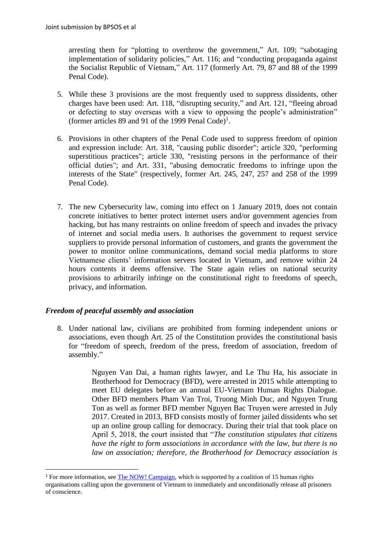arresting them for "plotting to overthrow the government," Art. 109; "sabotaging implementation of solidarity policies," Art. 116; and "conducting propaganda against the Socialist Republic of Vietnam," Art. 117 (formerly Art. 79, 87 and 88 of the 1999 Penal Code).

- 5. While these 3 provisions are the most frequently used to suppress dissidents, other charges have been used: Art. 118, "disrupting security," and Art. 121, "fleeing abroad or defecting to stay overseas with a view to opposing the people's administration" (former articles 89 and 91 of the 1999 Penal Code)<sup>1</sup>.
- 6. Provisions in other chapters of the Penal Code used to suppress freedom of opinion and expression include: Art. 318, "causing public disorder"; article 320, "performing superstitious practices"; article 330, "resisting persons in the performance of their official duties"; and Art. 331, "abusing democratic freedoms to infringe upon the interests of the State" (respectively, former Art. 245, 247, 257 and 258 of the 1999 Penal Code).
- 7. The new Cybersecurity law, coming into effect on 1 January 2019, does not contain concrete initiatives to better protect internet users and/or government agencies from hacking, but has many restraints on online freedom of speech and invades the privacy of internet and social media users. It authorises the government to request service suppliers to provide personal information of customers, and grants the government the power to monitor online communications, demand social media platforms to store Vietnamese clients' information servers located in Vietnam, and remove within 24 hours contents it deems offensive. The State again relies on national security provisions to arbitrarily infringe on the constitutional right to freedoms of speech, privacy, and information.

# *Freedom of peaceful assembly and association*

**.** 

8. Under national law, civilians are prohibited from forming independent unions or associations, even though Art. 25 of the Constitution provides the constitutional basis for "freedom of speech, freedom of the press, freedom of association, freedom of assembly."

> Nguyen Van Dai, a human rights lawyer, and Le Thu Ha, his associate in Brotherhood for Democracy (BFD), were arrested in 2015 while attempting to meet EU delegates before an annual EU-Vietnam Human Rights Dialogue. Other BFD members Pham Van Troi, Truong Minh Duc, and Nguyen Trung Ton as well as former BFD member Nguyen Bac Truyen were arrested in July 2017. Created in 2013, BFD consists mostly of former jailed dissidents who set up an online group calling for democracy. During their trial that took place on April 5, 2018, the court insisted that "*The constitution stipulates that citizens have the right to form associations in accordance with the law, but there is no law on association; therefore, the Brotherhood for Democracy association is*

<sup>&</sup>lt;sup>1</sup> For more information, see [The NOW! Campaign,](https://www.vietnampocs.com/analysis) which is supported by a coalition of 15 human rights organisations calling upon the government of Vietnam to immediately and unconditionally release all prisoners of conscience.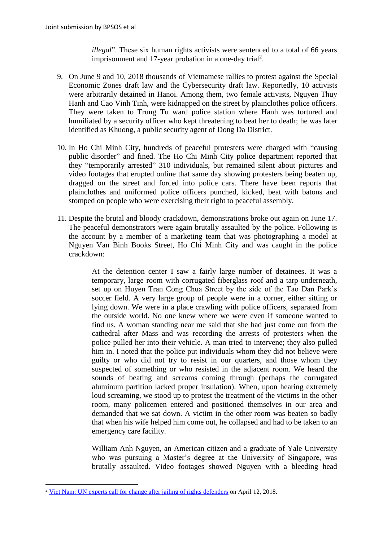*illegal*". These six human rights activists were sentenced to a total of 66 years imprisonment and  $17$ -year probation in a one-day trial<sup>2</sup>.

- 9. On June 9 and 10, 2018 thousands of Vietnamese rallies to protest against the Special Economic Zones draft law and the Cybersecurity draft law. Reportedly, 10 activists were arbitrarily detained in Hanoi. Among them, two female activists, Nguyen Thuy Hanh and Cao Vinh Tinh, were kidnapped on the street by plainclothes police officers. They were taken to Trung Tu ward police station where Hanh was tortured and humiliated by a security officer who kept threatening to beat her to death; he was later identified as Khuong, a public security agent of Dong Da District.
- 10. In Ho Chi Minh City, hundreds of peaceful protesters were charged with "causing public disorder" and fined. The Ho Chi Minh City police department reported that they "temporarily arrested" 310 individuals, but remained silent about pictures and video footages that erupted online that same day showing protesters being beaten up, dragged on the street and forced into police cars. There have been reports that plainclothes and uniformed police officers punched, kicked, beat with batons and stomped on people who were exercising their right to peaceful assembly.
- 11. Despite the brutal and bloody crackdown, demonstrations broke out again on June 17. The peaceful demonstrators were again brutally assaulted by the police. Following is the account by a member of a marketing team that was photographing a model at Nguyen Van Binh Books Street, Ho Chi Minh City and was caught in the police crackdown:

At the detention center I saw a fairly large number of detainees. It was a temporary, large room with corrugated fiberglass roof and a tarp underneath, set up on Huyen Tran Cong Chua Street by the side of the Tao Dan Park's soccer field. A very large group of people were in a corner, either sitting or lying down. We were in a place crawling with police officers, separated from the outside world. No one knew where we were even if someone wanted to find us. A woman standing near me said that she had just come out from the cathedral after Mass and was recording the arrests of protesters when the police pulled her into their vehicle. A man tried to intervene; they also pulled him in. I noted that the police put individuals whom they did not believe were guilty or who did not try to resist in our quarters, and those whom they suspected of something or who resisted in the adjacent room. We heard the sounds of beating and screams coming through (perhaps the corrugated aluminum partition lacked proper insulation). When, upon hearing extremely loud screaming, we stood up to protest the treatment of the victims in the other room, many policemen entered and positioned themselves in our area and demanded that we sat down. A victim in the other room was beaten so badly that when his wife helped him come out, he collapsed and had to be taken to an emergency care facility.

William Anh Nguyen, an American citizen and a graduate of Yale University who was pursuing a Master's degree at the University of Singapore, was brutally assaulted. Video footages showed Nguyen with a bleeding head

1

<sup>&</sup>lt;sup>2</sup> [Viet Nam: UN experts call for change after jailing of rights defenders](https://www.ohchr.org/en/NewsEvents/Pages/DisplayNews.aspx?NewsID=22937&LangID=E) on April 12, 2018.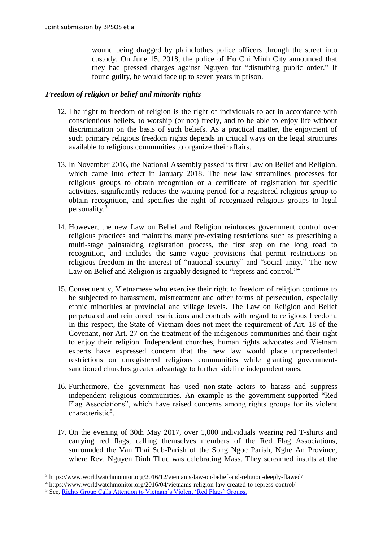wound being dragged by plainclothes police officers through the street into custody. On June 15, 2018, the police of Ho Chi Minh City announced that they had pressed charges against Nguyen for "disturbing public order." If found guilty, he would face up to seven years in prison.

### *Freedom of religion or belief and minority rights*

- 12. The right to freedom of religion is the right of individuals to act in accordance with conscientious beliefs, to worship (or not) freely, and to be able to enjoy life without discrimination on the basis of such beliefs. As a practical matter, the enjoyment of such primary religious freedom rights depends in critical ways on the legal structures available to religious communities to organize their affairs.
- 13. In November 2016, the National Assembly passed its first Law on Belief and Religion, which came into effect in January 2018. The new law streamlines processes for religious groups to obtain recognition or a certificate of registration for specific activities, significantly reduces the waiting period for a registered religious group to obtain recognition, and specifies the right of recognized religious groups to legal personality.<sup>3</sup>
- 14. However, the new Law on Belief and Religion reinforces government control over religious practices and maintains many pre-existing restrictions such as prescribing a multi-stage painstaking registration process, the first step on the long road to recognition, and includes the same vague provisions that permit restrictions on religious freedom in the interest of "national security" and "social unity." The new Law on Belief and Religion is arguably designed to "repress and control."<sup>4</sup>
- 15. Consequently, Vietnamese who exercise their right to freedom of religion continue to be subjected to harassment, mistreatment and other forms of persecution, especially ethnic minorities at provincial and village levels. The Law on Religion and Belief perpetuated and reinforced restrictions and controls with regard to religious freedom. In this respect, the State of Vietnam does not meet the requirement of Art. 18 of the Covenant, nor Art. 27 on the treatment of the indigenous communities and their right to enjoy their religion. Independent churches, human rights advocates and Vietnam experts have expressed concern that the new law would place unprecedented restrictions on unregistered religious communities while granting governmentsanctioned churches greater advantage to further sideline independent ones.
- 16. Furthermore, the government has used non-state actors to harass and suppress independent religious communities. An example is the government-supported "Red Flag Associations", which have raised concerns among rights groups for its violent characteristic<sup>5</sup>.
- 17. On the evening of 30th May 2017, over 1,000 individuals wearing red T-shirts and carrying red flags, calling themselves members of the Red Flag Associations, surrounded the Van Thai Sub-Parish of the Song Ngoc Parish, Nghe An Province, where Rev. Nguyen Dinh Thuc was celebrating Mass. They screamed insults at the

**.** 

<sup>3</sup> https://www.worldwatchmonitor.org/2016/12/vietnams-law-on-belief-and-religion-deeply-flawed/

<sup>4</sup> https://www.worldwatchmonitor.org/2016/04/vietnams-religion-law-created-to-repress-control/

<sup>&</sup>lt;sup>5</sup> See, [Rights Group Calls Attention to Vietnam's Violent 'Red Flags' Groups.](http://www.persecution.org/2018/03/29/rights-group-calls-attention-vietnams-violent-red-flags-groups/)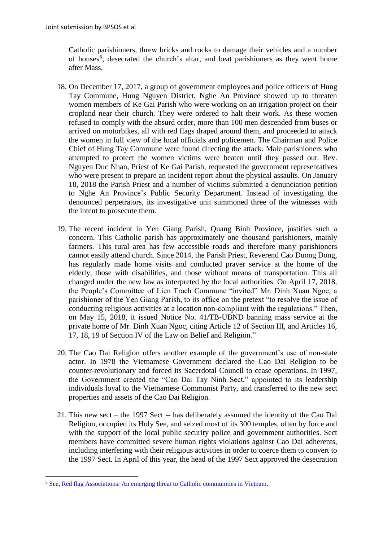Catholic parishioners, threw bricks and rocks to damage their vehicles and a number of houses<sup>6</sup>, desecrated the church's altar, and beat parishioners as they went home after Mass.

- 18. On December 17, 2017, a group of government employees and police officers of Hung Tay Commune, Hung Nguyen District, Nghe An Province showed up to threaten women members of Ke Gai Parish who were working on an irrigation project on their cropland near their church. They were ordered to halt their work. As these women refused to comply with the absurd order, more than 100 men descended from buses or arrived on motorbikes, all with red flags draped around them, and proceeded to attack the women in full view of the local officials and policemen. The Chairman and Police Chief of Hung Tay Commune were found directing the attack. Male parishioners who attempted to protect the women victims were beaten until they passed out. Rev. Nguyen Duc Nhan, Priest of Ke Gai Parish, requested the government representatives who were present to prepare an incident report about the physical assaults. On January 18, 2018 the Parish Priest and a number of victims submitted a denunciation petition to Nghe An Province's Public Security Department. Instead of investigating the denounced perpetrators, its investigative unit summoned three of the witnesses with the intent to prosecute them.
- 19. The recent incident in Yen Giang Parish, Quang Binh Province, justifies such a concern. This Catholic parish has approximately one thousand parishioners, mainly farmers. This rural area has few accessible roads and therefore many parishioners cannot easily attend church. Since 2014, the Parish Priest, Reverend Cao Duong Dong, has regularly made home visits and conducted prayer service at the home of the elderly, those with disabilities, and those without means of transportation. This all changed under the new law as interpreted by the local authorities. On April 17, 2018, the People's Committee of Lien Trach Commune "invited" Mr. Dinh Xuan Ngoc, a parishioner of the Yen Giang Parish, to its office on the pretext "to resolve the issue of conducting religious activities at a location non-compliant with the regulations." Then, on May 15, 2018, it issued Notice No. 41/TB-UBND banning mass service at the private home of Mr. Dinh Xuan Ngoc, citing Article 12 of Section III, and Articles 16, 17, 18, 19 of Section IV of the Law on Belief and Religion."
- 20. The Cao Dai Religion offers another example of the government's use of non-state actor. In 1978 the Vietnamese Government declared the Cao Dai Religion to be counter-revolutionary and forced its Sacerdotal Council to cease operations. In 1997, the Government created the "Cao Dai Tay Ninh Sect," appointed to its leadership individuals loyal to the Vietnamese Communist Party, and transferred to the new sect properties and assets of the Cao Dai Religion.
- 21. This new sect the 1997 Sect -- has deliberately assumed the identity of the Cao Dai Religion, occupied its Holy See, and seized most of its 300 temples, often by force and with the support of the local public security police and government authorities. Sect members have committed severe human rights violations against Cao Dai adherents, including interfering with their religious activities in order to coerce them to convert to the 1997 Sect. In April of this year, the head of the 1997 Sect approved the desecration

 $\overline{a}$ 

<sup>6</sup> See, [Red flag Associations: An emerging threat to Catholic communities in Vietnam.](http://dvov.org/wp-content/uploads/2018/03/Red-Flag-Associations-03-27-18.pdf)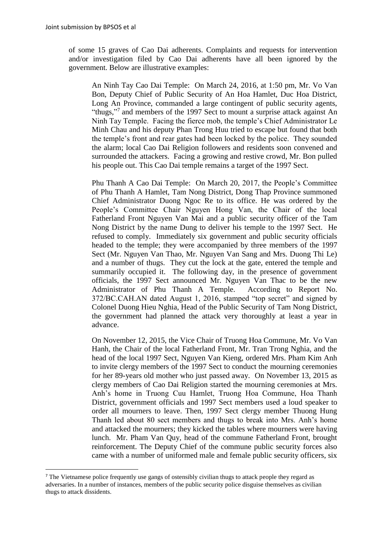**.** 

of some 15 graves of Cao Dai adherents. Complaints and requests for intervention and/or investigation filed by Cao Dai adherents have all been ignored by the government. Below are illustrative examples:

An Ninh Tay Cao Dai Temple: On March 24, 2016, at 1:50 pm, Mr. Vo Van Bon, Deputy Chief of Public Security of An Hoa Hamlet, Duc Hoa District, Long An Province, commanded a large contingent of public security agents, "thugs,"<sup>7</sup> and members of the 1997 Sect to mount a surprise attack against An Ninh Tay Temple. Facing the fierce mob, the temple's Chief Administrator Le Minh Chau and his deputy Phan Trong Huu tried to escape but found that both the temple's front and rear gates had been locked by the police. They sounded the alarm; local Cao Dai Religion followers and residents soon convened and surrounded the attackers. Facing a growing and restive crowd, Mr. Bon pulled his people out. This Cao Dai temple remains a target of the 1997 Sect.

Phu Thanh A Cao Dai Temple: On March 20, 2017, the People's Committee of Phu Thanh A Hamlet, Tam Nong District, Dong Thap Province summoned Chief Administrator Duong Ngoc Re to its office. He was ordered by the People's Committee Chair Nguyen Hong Van, the Chair of the local Fatherland Front Nguyen Van Mai and a public security officer of the Tam Nong District by the name Dung to deliver his temple to the 1997 Sect. He refused to comply. Immediately six government and public security officials headed to the temple; they were accompanied by three members of the 1997 Sect (Mr. Nguyen Van Thao, Mr. Nguyen Van Sang and Mrs. Duong Thi Le) and a number of thugs. They cut the lock at the gate, entered the temple and summarily occupied it. The following day, in the presence of government officials, the 1997 Sect announced Mr. Nguyen Van Thac to be the new Administrator of Phu Thanh A Temple. According to Report No. 372/BC.CAH.AN dated August 1, 2016, stamped "top secret" and signed by Colonel Duong Hieu Nghia, Head of the Public Security of Tam Nong District, the government had planned the attack very thoroughly at least a year in advance.

On November 12, 2015, the Vice Chair of Truong Hoa Commune, Mr. Vo Van Hanh, the Chair of the local Fatherland Front, Mr. Tran Trong Nghia, and the head of the local 1997 Sect, Nguyen Van Kieng, ordered Mrs. Pham Kim Anh to invite clergy members of the 1997 Sect to conduct the mourning ceremonies for her 89-years old mother who just passed away. On November 13, 2015 as clergy members of Cao Dai Religion started the mourning ceremonies at Mrs. Anh's home in Truong Cuu Hamlet, Truong Hoa Commune, Hoa Thanh District, government officials and 1997 Sect members used a loud speaker to order all mourners to leave. Then, 1997 Sect clergy member Thuong Hung Thanh led about 80 sect members and thugs to break into Mrs. Anh's home and attacked the mourners; they kicked the tables where mourners were having lunch. Mr. Pham Van Quy, head of the commune Fatherland Front, brought reinforcement. The Deputy Chief of the commune public security forces also came with a number of uniformed male and female public security officers, six

<sup>&</sup>lt;sup>7</sup> The Vietnamese police frequently use gangs of ostensibly civilian thugs to attack people they regard as adversaries. In a number of instances, members of the public security police disguise themselves as civilian thugs to attack dissidents.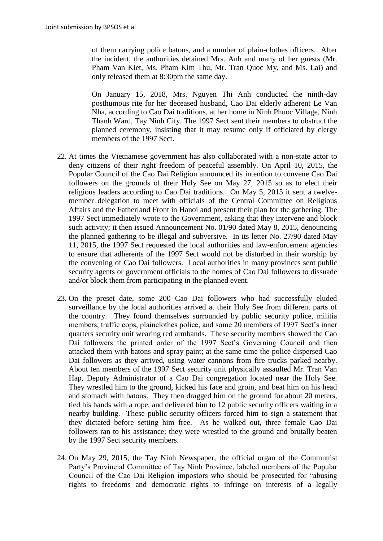of them carrying police batons, and a number of plain-clothes officers. After the incident, the authorities detained Mrs. Anh and many of her guests (Mr. Pham Van Kiet, Ms. Pham Kim Thu, Mr. Tran Quoc My, and Ms. Lai) and only released them at 8:30pm the same day.

On January 15, 2018, Mrs. Nguyen Thi Anh conducted the ninth-day posthumous rite for her deceased husband, Cao Dai elderly adherent Le Van Nha, according to Cao Dai traditions, at her home in Ninh Phuoc Village, Ninh Thanh Ward, Tay Ninh City. The 1997 Sect sent their members to obstruct the planned ceremony, insisting that it may resume only if officiated by clergy members of the 1997 Sect.

- 22. At times the Vietnamese government has also collaborated with a non-state actor to deny citizens of their right freedom of peaceful assembly. On April 10, 2015, the Popular Council of the Cao Dai Religion announced its intention to convene Cao Dai followers on the grounds of their Holy See on May 27, 2015 so as to elect their religious leaders according to Cao Dai traditions. On May 5, 2015 it sent a twelvemember delegation to meet with officials of the Central Committee on Religious Affairs and the Fatherland Front in Hanoi and present their plan for the gathering. The 1997 Sect immediately wrote to the Government, asking that they intervene and block such activity; it then issued Announcement No. 01/90 dated May 8, 2015, denouncing the planned gathering to be illegal and subversive. In its letter No. 27/90 dated May 11, 2015, the 1997 Sect requested the local authorities and law-enforcement agencies to ensure that adherents of the 1997 Sect would not be disturbed in their worship by the convening of Cao Dai followers. Local authorities in many provinces sent public security agents or government officials to the homes of Cao Dai followers to dissuade and/or block them from participating in the planned event.
- 23. On the preset date, some 200 Cao Dai followers who had successfully eluded surveillance by the local authorities arrived at their Holy See from different parts of the country. They found themselves surrounded by public security police, militia members, traffic cops, plainclothes police, and some 20 members of 1997 Sect's inner quarters security unit wearing red armbands. These security members showed the Cao Dai followers the printed order of the 1997 Sect's Governing Council and then attacked them with batons and spray paint; at the same time the police dispersed Cao Dai followers as they arrived, using water cannons from fire trucks parked nearby. About ten members of the 1997 Sect security unit physically assaulted Mr. Tran Van Hap, Deputy Administrator of a Cao Dai congregation located near the Holy See. They wrestled him to the ground, kicked his face and groin, and beat him on his head and stomach with batons. They then dragged him on the ground for about 20 meters, tied his hands with a rope, and delivered him to 12 public security officers waiting in a nearby building. These public security officers forced him to sign a statement that they dictated before setting him free. As he walked out, three female Cao Dai followers ran to his assistance; they were wrestled to the ground and brutally beaten by the 1997 Sect security members.
- 24. On May 29, 2015, the Tay Ninh Newspaper, the official organ of the Communist Party's Provincial Committee of Tay Ninh Province, labeled members of the Popular Council of the Cao Dai Religion impostors who should be prosecuted for "abusing rights to freedoms and democratic rights to infringe on interests of a legally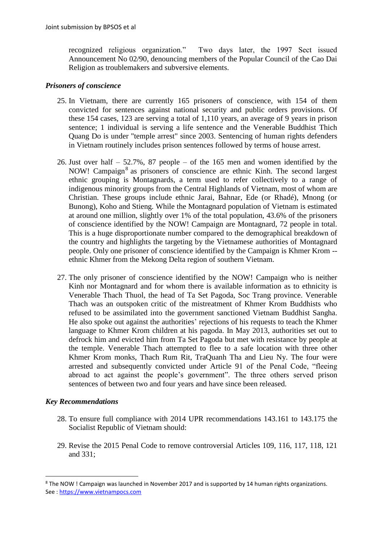recognized religious organization." Two days later, the 1997 Sect issued Announcement No 02/90, denouncing members of the Popular Council of the Cao Dai Religion as troublemakers and subversive elements.

### *Prisoners of conscience*

- 25. In Vietnam, there are currently 165 prisoners of conscience, with 154 of them convicted for sentences against national security and public orders provisions. Of these 154 cases, 123 are serving a total of 1,110 years, an average of 9 years in prison sentence; 1 individual is serving a life sentence and the Venerable Buddhist Thich Quang Do is under "temple arrest" since 2003. Sentencing of human rights defenders in Vietnam routinely includes prison sentences followed by terms of house arrest.
- 26. Just over half 52.7%, 87 people of the 165 men and women identified by the NOW! Campaign<sup>8</sup> as prisoners of conscience are ethnic Kinh. The second largest ethnic grouping is Montagnards, a term used to refer collectively to a range of indigenous minority groups from the Central Highlands of Vietnam, most of whom are Christian. These groups include ethnic Jarai, Bahnar, Ede (or Rhadé), Mnong (or Bunong), Koho and Stieng. While the Montagnard population of Vietnam is estimated at around one million, slightly over 1% of the total population, 43.6% of the prisoners of conscience identified by the NOW! Campaign are Montagnard, 72 people in total. This is a huge disproportionate number compared to the demographical breakdown of the country and highlights the targeting by the Vietnamese authorities of Montagnard people. Only one prisoner of conscience identified by the Campaign is Khmer Krom - ethnic Khmer from the Mekong Delta region of southern Vietnam.
- 27. The only prisoner of conscience identified by the NOW! Campaign who is neither Kinh nor Montagnard and for whom there is available information as to ethnicity is Venerable Thach Thuol, the head of Ta Set Pagoda, Soc Trang province. Venerable Thach was an outspoken critic of the mistreatment of Khmer Krom Buddhists who refused to be assimilated into the government sanctioned Vietnam Buddhist Sangha. He also spoke out against the authorities' rejections of his requests to teach the Khmer language to Khmer Krom children at his pagoda. In May 2013, authorities set out to defrock him and evicted him from Ta Set Pagoda but met with resistance by people at the temple. Venerable Thach attempted to flee to a safe location with three other Khmer Krom monks, Thach Rum Rit, TraQuanh Tha and Lieu Ny. The four were arrested and subsequently convicted under Article 91 of the Penal Code, "fleeing abroad to act against the people's government". The three others served prison sentences of between two and four years and have since been released.

# *Key Recommendations*

**.** 

- 28. To ensure full compliance with 2014 UPR recommendations 143.161 to 143.175 the Socialist Republic of Vietnam should:
- 29. Revise the 2015 Penal Code to remove controversial Articles 109, 116, 117, 118, 121 and 331;

<sup>&</sup>lt;sup>8</sup> The NOW ! Campaign was launched in November 2017 and is supported by 14 human rights organizations. See [: https://www.vietnampocs.com](https://www.vietnampocs.com/)